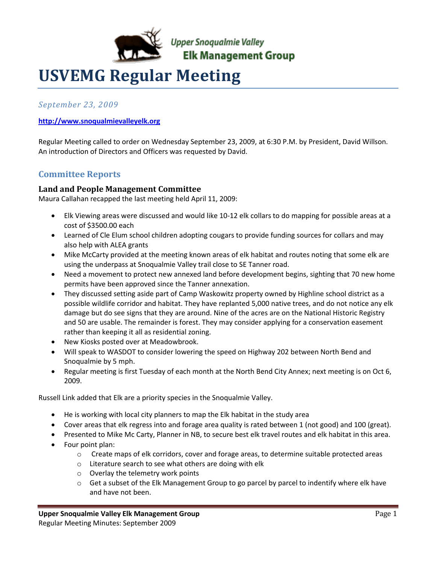

# **USVEMG Regular Meeting**

*September 23, 2009*

#### **[http://www.snoqualmievalleyelk.org](http://www.snoqualmievalleyelk.org/)**

Regular Meeting called to order on Wednesday September 23, 2009, at 6:30 P.M. by President, David Willson. An introduction of Directors and Officers was requested by David.

### **Committee Reports**

#### **Land and People Management Committee**

Maura Callahan recapped the last meeting held April 11, 2009:

- Elk Viewing areas were discussed and would like 10-12 elk collars to do mapping for possible areas at a cost of \$3500.00 each
- Learned of Cle Elum school children adopting cougars to provide funding sources for collars and may also help with ALEA grants
- Mike McCarty provided at the meeting known areas of elk habitat and routes noting that some elk are using the underpass at Snoqualmie Valley trail close to SE Tanner road.
- Need a movement to protect new annexed land before development begins, sighting that 70 new home permits have been approved since the Tanner annexation.
- They discussed setting aside part of Camp Waskowitz property owned by Highline school district as a possible wildlife corridor and habitat. They have replanted 5,000 native trees, and do not notice any elk damage but do see signs that they are around. Nine of the acres are on the National Historic Registry and 50 are usable. The remainder is forest. They may consider applying for a conservation easement rather than keeping it all as residential zoning.
- New Kiosks posted over at Meadowbrook.
- Will speak to WASDOT to consider lowering the speed on Highway 202 between North Bend and Snoqualmie by 5 mph.
- Regular meeting is first Tuesday of each month at the North Bend City Annex; next meeting is on Oct 6, 2009.

Russell Link added that Elk are a priority species in the Snoqualmie Valley.

- He is working with local city planners to map the Elk habitat in the study area
- Cover areas that elk regress into and forage area quality is rated between 1 (not good) and 100 (great).
- Presented to Mike Mc Carty, Planner in NB, to secure best elk travel routes and elk habitat in this area.
- Four point plan:
	- $\circ$  Create maps of elk corridors, cover and forage areas, to determine suitable protected areas
	- o Literature search to see what others are doing with elk
	- o Overlay the telemetry work points
	- $\circ$  Get a subset of the Elk Management Group to go parcel by parcel to indentify where elk have and have not been.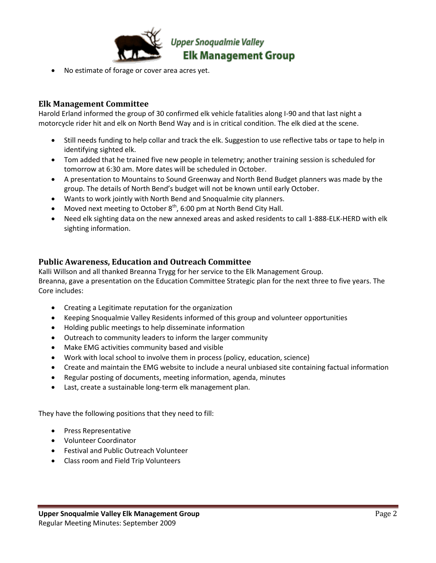

No estimate of forage or cover area acres yet.

#### **Elk Management Committee**

Harold Erland informed the group of 30 confirmed elk vehicle fatalities along I-90 and that last night a motorcycle rider hit and elk on North Bend Way and is in critical condition. The elk died at the scene.

- Still needs funding to help collar and track the elk. Suggestion to use reflective tabs or tape to help in identifying sighted elk.
- Tom added that he trained five new people in telemetry; another training session is scheduled for tomorrow at 6:30 am. More dates will be scheduled in October.
- A presentation to Mountains to Sound Greenway and North Bend Budget planners was made by the group. The details of North Bend's budget will not be known until early October.
- Wants to work jointly with North Bend and Snoqualmie city planners.
- Moved next meeting to October  $8<sup>th</sup>$ , 6:00 pm at North Bend City Hall.
- Need elk sighting data on the new annexed areas and asked residents to call 1-888-ELK-HERD with elk sighting information.

#### **Public Awareness, Education and Outreach Committee**

Kalli Willson and all thanked Breanna Trygg for her service to the Elk Management Group. Breanna, gave a presentation on the Education Committee Strategic plan for the next three to five years. The Core includes:

- Creating a Legitimate reputation for the organization
- Keeping Snoqualmie Valley Residents informed of this group and volunteer opportunities
- Holding public meetings to help disseminate information
- Outreach to community leaders to inform the larger community
- Make EMG activities community based and visible
- Work with local school to involve them in process (policy, education, science)
- Create and maintain the EMG website to include a neural unbiased site containing factual information
- Regular posting of documents, meeting information, agenda, minutes
- Last, create a sustainable long-term elk management plan.

They have the following positions that they need to fill:

- Press Representative
- Volunteer Coordinator
- Festival and Public Outreach Volunteer
- Class room and Field Trip Volunteers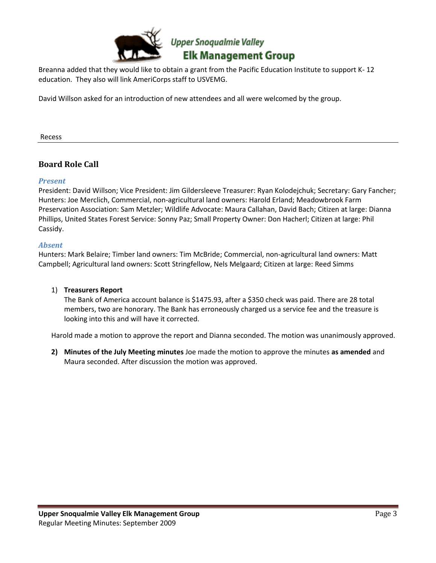

Breanna added that they would like to obtain a grant from the Pacific Education Institute to support K- 12 education. They also will link AmeriCorps staff to USVEMG.

David Willson asked for an introduction of new attendees and all were welcomed by the group.

Recess

## **Board Role Call**

#### *Present*

President: David Willson; Vice President: Jim Gildersleeve Treasurer: Ryan Kolodejchuk; Secretary: Gary Fancher; Hunters: Joe Merclich, Commercial, non-agricultural land owners: Harold Erland; Meadowbrook Farm Preservation Association: Sam Metzler; Wildlife Advocate: Maura Callahan, David Bach; Citizen at large: Dianna Phillips, United States Forest Service: Sonny Paz; Small Property Owner: Don Hacherl; Citizen at large: Phil Cassidy.

#### *Absent*

Hunters: Mark Belaire; Timber land owners: Tim McBride; Commercial, non-agricultural land owners: Matt Campbell; Agricultural land owners: Scott Stringfellow, Nels Melgaard; Citizen at large: Reed Simms

#### 1) **Treasurers Report**

The Bank of America account balance is \$1475.93, after a \$350 check was paid. There are 28 total members, two are honorary. The Bank has erroneously charged us a service fee and the treasure is looking into this and will have it corrected.

Harold made a motion to approve the report and Dianna seconded. The motion was unanimously approved.

**2) Minutes of the July Meeting minutes** Joe made the motion to approve the minutes **as amended** and Maura seconded. After discussion the motion was approved.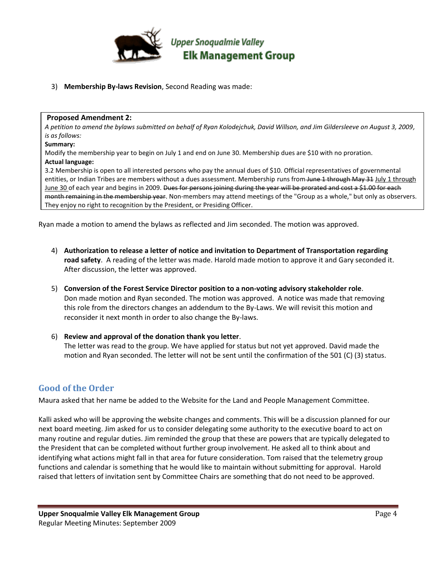

3) **Membership By-laws Revision**, Second Reading was made:

#### **Proposed Amendment 2:**

*A petition to amend the bylaws submitted on behalf of Ryan Kolodejchuk, David Willson, and Jim Gildersleeve on August 3, 2009, is as follows:* 

#### **Summary:**

Modify the membership year to begin on July 1 and end on June 30. Membership dues are \$10 with no proration.

#### **Actual language:**

3.2 Membership is open to all interested persons who pay the annual dues of \$10. Official representatives of governmental entities, or Indian Tribes are members without a dues assessment. Membership runs from June 1 through May 31 July 1 through June 30 of each year and begins in 2009. Dues for persons joining during the year will be prorated and cost a \$1.00 for each month remaining in the membership year. Non-members may attend meetings of the "Group as a whole," but only as observers. They enjoy no right to recognition by the President, or Presiding Officer.

Ryan made a motion to amend the bylaws as reflected and Jim seconded. The motion was approved.

- 4) **Authorization to release a letter of notice and invitation to Department of Transportation regarding road safety**. A reading of the letter was made. Harold made motion to approve it and Gary seconded it. After discussion, the letter was approved.
- 5) **Conversion of the Forest Service Director position to a non-voting advisory stakeholder role**. Don made motion and Ryan seconded. The motion was approved. A notice was made that removing this role from the directors changes an addendum to the By-Laws. We will revisit this motion and reconsider it next month in order to also change the By-laws.
- 6) **Review and approval of the donation thank you letter**. The letter was read to the group. We have applied for status but not yet approved. David made the motion and Ryan seconded. The letter will not be sent until the confirmation of the 501 (C) (3) status.

### **Good of the Order**

Maura asked that her name be added to the Website for the Land and People Management Committee.

Kalli asked who will be approving the website changes and comments. This will be a discussion planned for our next board meeting. Jim asked for us to consider delegating some authority to the executive board to act on many routine and regular duties. Jim reminded the group that these are powers that are typically delegated to the President that can be completed without further group involvement. He asked all to think about and identifying what actions might fall in that area for future consideration. Tom raised that the telemetry group functions and calendar is something that he would like to maintain without submitting for approval. Harold raised that letters of invitation sent by Committee Chairs are something that do not need to be approved.